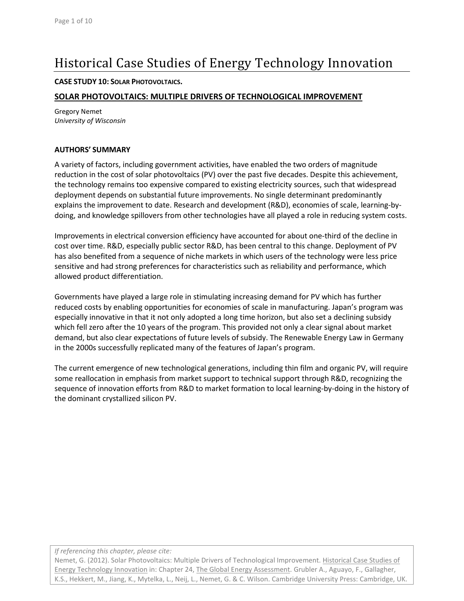# Historical Case Studies of Energy Technology Innovation

**CASE STUDY 10: SOLAR PHOTOVOLTAICS.**

### **SOLAR PHOTOVOLTAICS: MULTIPLE DRIVERS OF TECHNOLOGICAL IMPROVEMENT**

Gregory Nemet *University of Wisconsin*

#### **AUTHORS' SUMMARY**

A variety of factors, including government activities, have enabled the two orders of magnitude reduction in the cost of solar photovoltaics (PV) over the past five decades. Despite this achievement, the technology remains too expensive compared to existing electricity sources, such that widespread deployment depends on substantial future improvements. No single determinant predominantly explains the improvement to date. Research and development (R&D), economies of scale, learning-bydoing, and knowledge spillovers from other technologies have all played a role in reducing system costs.

Improvements in electrical conversion efficiency have accounted for about one-third of the decline in cost over time. R&D, especially public sector R&D, has been central to this change. Deployment of PV has also benefited from a sequence of niche markets in which users of the technology were less price sensitive and had strong preferences for characteristics such as reliability and performance, which allowed product differentiation.

Governments have played a large role in stimulating increasing demand for PV which has further reduced costs by enabling opportunities for economies of scale in manufacturing. Japan's program was especially innovative in that it not only adopted a long time horizon, but also set a declining subsidy which fell zero after the 10 years of the program. This provided not only a clear signal about market demand, but also clear expectations of future levels of subsidy. The Renewable Energy Law in Germany in the 2000s successfully replicated many of the features of Japan's program.

The current emergence of new technological generations, including thin film and organic PV, will require some reallocation in emphasis from market support to technical support through R&D, recognizing the sequence of innovation efforts from R&D to market formation to local learning-by-doing in the history of the dominant crystallized silicon PV.

*If referencing this chapter, please cite:*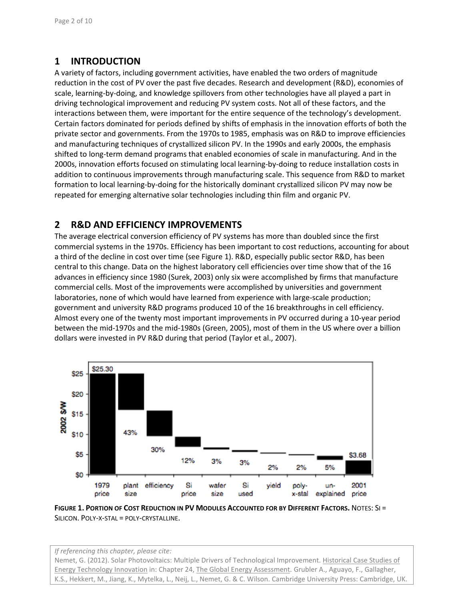## **1 INTRODUCTION**

A variety of factors, including government activities, have enabled the two orders of magnitude reduction in the cost of PV over the past five decades. Research and development (R&D), economies of scale, learning-by-doing, and knowledge spillovers from other technologies have all played a part in driving technological improvement and reducing PV system costs. Not all of these factors, and the interactions between them, were important for the entire sequence of the technology's development. Certain factors dominated for periods defined by shifts of emphasis in the innovation efforts of both the private sector and governments. From the 1970s to 1985, emphasis was on R&D to improve efficiencies and manufacturing techniques of crystallized silicon PV. In the 1990s and early 2000s, the emphasis shifted to long-term demand programs that enabled economies of scale in manufacturing. And in the 2000s, innovation efforts focused on stimulating local learning-by-doing to reduce installation costs in addition to continuous improvements through manufacturing scale. This sequence from R&D to market formation to local learning-by-doing for the historically dominant crystallized silicon PV may now be repeated for emerging alternative solar technologies including thin film and organic PV.

# **2 R&D AND EFFICIENCY IMPROVEMENTS**

The average electrical conversion efficiency of PV systems has more than doubled since the first commercial systems in the 1970s. Efficiency has been important to cost reductions, accounting for about a third of the decline in cost over time (see Figure 1). R&D, especially public sector R&D, has been central to this change. Data on the highest laboratory cell efficiencies over time show that of the 16 advances in efficiency since 1980 [\(Surek, 2003\)](#page-9-0) only six were accomplished by firms that manufacture commercial cells. Most of the improvements were accomplished by universities and government laboratories, none of which would have learned from experience with large-scale production; government and university R&D programs produced 10 of the 16 breakthroughs in cell efficiency. Almost every one of the twenty most important improvements in PV occurred during a 10-year period between the mid-1970s and the mid-1980s [\(Green, 2005\)](#page-8-0), most of them in the US where over a billion dollars were invested in PV R&D during that period [\(Taylor et al., 2007\)](#page-9-1).



**FIGURE 1. PORTION OF COST REDUCTION IN PV MODULES ACCOUNTED FOR BY DIFFERENT FACTORS.** NOTES: SI = SILICON. POLY-X-STAL = POLY-CRYSTALLINE.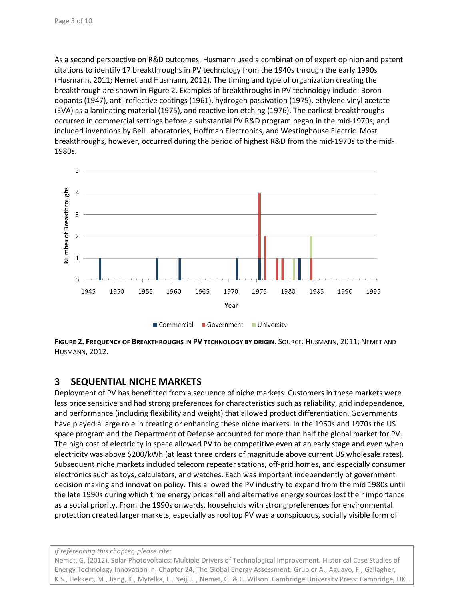As a second perspective on R&D outcomes, Husmann used a combination of expert opinion and patent citations to identify 17 breakthroughs in PV technology from the 1940s through the early 1990s [\(Husmann, 2011;](#page-9-2) [Nemet and Husmann, 2012\)](#page-9-3). The timing and type of organization creating the breakthrough are shown in Figure 2. Examples of breakthroughs in PV technology include: Boron dopants (1947), anti-reflective coatings (1961), hydrogen passivation (1975), ethylene vinyl acetate (EVA) as a laminating material (1975), and reactive ion etching (1976). The earliest breakthroughs occurred in commercial settings before a substantial PV R&D program began in the mid-1970s, and included inventions by Bell Laboratories, Hoffman Electronics, and Westinghouse Electric. Most breakthroughs, however, occurred during the period of highest R&D from the mid-1970s to the mid-1980s.



Commercial Government University

**FIGURE 2. FREQUENCY OF BREAKTHROUGHS IN PV TECHNOLOGY BY ORIGIN.** SOURCE: [HUSMANN,](#page-9-2) 2011; [NEMET AND](#page-9-3)  [HUSMANN,](#page-9-3) 2012.

### **3 SEQUENTIAL NICHE MARKETS**

Deployment of PV has benefitted from a sequence of niche markets. Customers in these markets were less price sensitive and had strong preferences for characteristics such as reliability, grid independence, and performance (including flexibility and weight) that allowed product differentiation. Governments have played a large role in creating or enhancing these niche markets. In the 1960s and 1970s the US space program and the Department of Defense accounted for more than half the global market for PV. The high cost of electricity in space allowed PV to be competitive even at an early stage and even when electricity was above \$200/kWh (at least three orders of magnitude above current US wholesale rates). Subsequent niche markets included telecom repeater stations, off-grid homes, and especially consumer electronics such as toys, calculators, and watches. Each was important independently of government decision making and innovation policy. This allowed the PV industry to expand from the mid 1980s until the late 1990s during which time energy prices fell and alternative energy sources lost their importance as a social priority. From the 1990s onwards, households with strong preferences for environmental protection created larger markets, especially as rooftop PV was a conspicuous, socially visible form of

#### *If referencing this chapter, please cite:*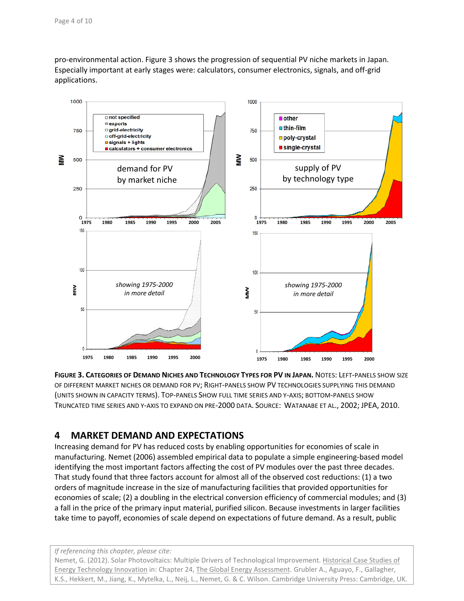pro-environmental action. Figure 3 shows the progression of sequential PV niche markets in Japan. Especially important at early stages were: calculators, consumer electronics, signals, and off-grid applications.



**FIGURE 3. CATEGORIES OF DEMAND NICHES AND TECHNOLOGY TYPES FOR PV IN JAPAN.** NOTES: LEFT-PANELS SHOW SIZE OF DIFFERENT MARKET NICHES OR DEMAND FOR PV; RIGHT-PANELS SHOW PV TECHNOLOGIES SUPPLYING THIS DEMAND (UNITS SHOWN IN CAPACITY TERMS). TOP-PANELS SHOW FULL TIME SERIES AND Y-AXIS; BOTTOM-PANELS SHOW TRUNCATED TIME SERIES AND Y-AXIS TO EXPAND ON PRE-2000 DATA. SOURCE: WATANABE ET AL., 2002; JPEA, 2010.

# **4 MARKET DEMAND AND EXPECTATIONS**

Increasing demand for PV has reduced costs by enabling opportunities for economies of scale in manufacturing. Nemet [\(2006\)](#page-9-4) assembled empirical data to populate a simple engineering-based model identifying the most important factors affecting the cost of PV modules over the past three decades. That study found that three factors account for almost all of the observed cost reductions: (1) a two orders of magnitude increase in the size of manufacturing facilities that provided opportunities for economies of scale; (2) a doubling in the electrical conversion efficiency of commercial modules; and (3) a fall in the price of the primary input material, purified silicon. Because investments in larger facilities take time to payoff, economies of scale depend on expectations of future demand. As a result, public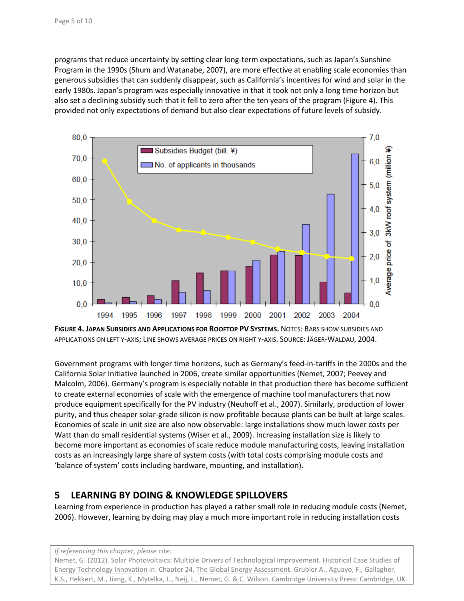programs that reduce uncertainty by setting clear long-term expectations, such as Japan's Sunshine Program in the 1990s [\(Shum and Watanabe, 2007\)](#page-9-5), are more effective at enabling scale economies than generous subsidies that can suddenly disappear, such as California's incentives for wind and solar in the early 1980s. Japan's program was especially innovative in that it took not only a long time horizon but also set a declining subsidy such that it fell to zero after the ten years of the program (Figure 4). This provided not only expectations of demand but also clear expectations of future levels of subsidy.



**FIGURE 4. JAPAN SUBSIDIES AND APPLICATIONS FOR ROOFTOP PV SYSTEMS.** NOTES: BARS SHOW SUBSIDIES AND APPLICATIONS ON LEFT Y-AXIS; LINE SHOWS AVERAGE PRICES ON RIGHT Y-AXIS. SOURCE: [JÄGER-WALDAU,](#page-9-6) 2004.

Government programs with longer time horizons, such as Germany's feed-in-tariffs in the 2000s and the California Solar Initiative launched in 2006, create similar opportunities [\(Nemet, 2007;](#page-9-7) [Peevey and](#page-9-8)  [Malcolm, 2006\)](#page-9-8). Germany's program is especially notable in that production there has become sufficient to create external economies of scale with the emergence of machine tool manufacturers that now produce equipment specifically for the PV industry [\(Neuhoff et al., 2007\)](#page-9-9). Similarly, production of lower purity, and thus cheaper solar-grade silicon is now profitable because plants can be built at large scales. Economies of scale in unit size are also now observable: large installations show much lower costs per Watt than do small residential systems [\(Wiser et al., 2009\)](#page-9-10). Increasing installation size is likely to become more important as economies of scale reduce module manufacturing costs, leaving installation costs as an increasingly large share of system costs (with total costs comprising module costs and 'balance of system' costs including hardware, mounting, and installation).

### **5 LEARNING BY DOING & KNOWLEDGE SPILLOVERS**

Learning from experience in production has played a rather small role in reducing module costs [\(Nemet,](#page-9-4)  2006). However, learning by doing may play a much more important role in reducing installation costs

#### *If referencing this chapter, please cite:*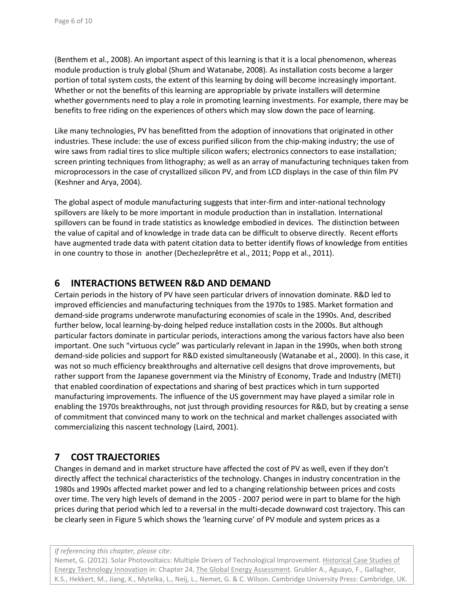[\(Benthem et al., 2008\)](#page-8-1). An important aspect of this learning is that it is a local phenomenon, whereas module production is truly global [\(Shum and Watanabe, 2008\)](#page-9-11). As installation costs become a larger portion of total system costs, the extent of this learning by doing will become increasingly important. Whether or not the benefits of this learning are appropriable by private installers will determine whether governments need to play a role in promoting learning investments. For example, there may be benefits to free riding on the experiences of others which may slow down the pace of learning.

Like many technologies, PV has benefitted from the adoption of innovations that originated in other industries. These include: the use of excess purified silicon from the chip-making industry; the use of wire saws from radial tires to slice multiple silicon wafers; electronics connectors to ease installation; screen printing techniques from lithography; as well as an array of manufacturing techniques taken from microprocessors in the case of crystallized silicon PV, and from LCD displays in the case of thin film PV [\(Keshner and Arya, 2004\)](#page-9-12).

The global aspect of module manufacturing suggests that inter-firm and inter-national technology spillovers are likely to be more important in module production than in installation. International spillovers can be found in trade statistics as knowledge embodied in devices. The distinction between the value of capital and of knowledge in trade data can be difficult to observe directly. Recent efforts have augmented trade data with patent citation data to better identify flows of knowledge from entities in one country to those in another [\(Dechezleprêtre et al., 2011;](#page-8-2) [Popp et al., 2011\)](#page-9-13).

### **6 INTERACTIONS BETWEEN R&D AND DEMAND**

Certain periods in the history of PV have seen particular drivers of innovation dominate. R&D led to improved efficiencies and manufacturing techniques from the 1970s to 1985. Market formation and demand-side programs underwrote manufacturing economies of scale in the 1990s. And, described further below, local learning-by-doing helped reduce installation costs in the 2000s. But although particular factors dominate in particular periods, interactions among the various factors have also been important. One such "virtuous cycle" was particularly relevant in Japan in the 1990s, when both strong demand-side policies and support for R&D existed simultaneously [\(Watanabe et al., 2000\)](#page-9-14). In this case, it was not so much efficiency breakthroughs and alternative cell designs that drove improvements, but rather support from the Japanese government via the Ministry of Economy, Trade and Industry (METI) that enabled coordination of expectations and sharing of best practices which in turn supported manufacturing improvements. The influence of the US government may have played a similar role in enabling the 1970s breakthroughs, not just through providing resources for R&D, but by creating a sense of commitment that convinced many to work on the technical and market challenges associated with commercializing this nascent technology [\(Laird, 2001\)](#page-9-15).

### **7 COST TRAJECTORIES**

Changes in demand and in market structure have affected the cost of PV as well, even if they don't directly affect the technical characteristics of the technology. Changes in industry concentration in the 1980s and 1990s affected market power and led to a changing relationship between prices and costs over time. The very high levels of demand in the 2005 - 2007 period were in part to blame for the high prices during that period which led to a reversal in the multi-decade downward cost trajectory. This can be clearly seen in Figure 5 which shows the 'learning curve' of PV module and system prices as a

#### *If referencing this chapter, please cite:*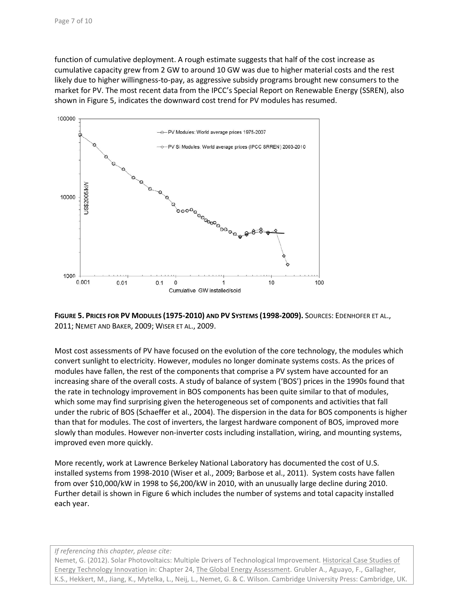function of cumulative deployment. A rough estimate suggests that half of the cost increase as cumulative capacity grew from 2 GW to around 10 GW was due to higher material costs and the rest likely due to higher willingness-to-pay, as aggressive subsidy programs brought new consumers to the market for PV. The most recent data from the IPCC's Special Report on Renewable Energy (SSREN), also shown in Figure 5, indicates the downward cost trend for PV modules has resumed.



**FIGURE 5. PRICES FOR PV MODULES (1975-2010) AND PV SYSTEMS (1998-2009).** SOURCES: [EDENHOFER ET AL.,](#page-8-3) [2011;](#page-8-3) [NEMET AND BAKER,](#page-9-16) 2009; [WISER ET AL.,](#page-9-10) 2009.

Most cost assessments of PV have focused on the evolution of the core technology, the modules which convert sunlight to electricity. However, modules no longer dominate systems costs. As the prices of modules have fallen, the rest of the components that comprise a PV system have accounted for an increasing share of the overall costs. A study of balance of system ('BOS') prices in the 1990s found that the rate in technology improvement in BOS components has been quite similar to that of modules, which some may find surprising given the heterogeneous set of components and activities that fall under the rubric of BOS [\(Schaeffer et al., 2004\)](#page-9-17). The dispersion in the data for BOS components is higher than that for modules. The cost of inverters, the largest hardware component of BOS, improved more slowly than modules. However non-inverter costs including installation, wiring, and mounting systems, improved even more quickly.

More recently, work at Lawrence Berkeley National Laboratory has documented the cost of U.S. installed systems from 1998-2010 [\(Wiser et al., 2009;](#page-9-10) [Barbose et al., 2011\)](#page-8-4). System costs have fallen from over \$10,000/kW in 1998 to \$6,200/kW in 2010, with an unusually large decline during 2010. Further detail is shown in Figure 6 which includes the number of systems and total capacity installed each year.

#### *If referencing this chapter, please cite:*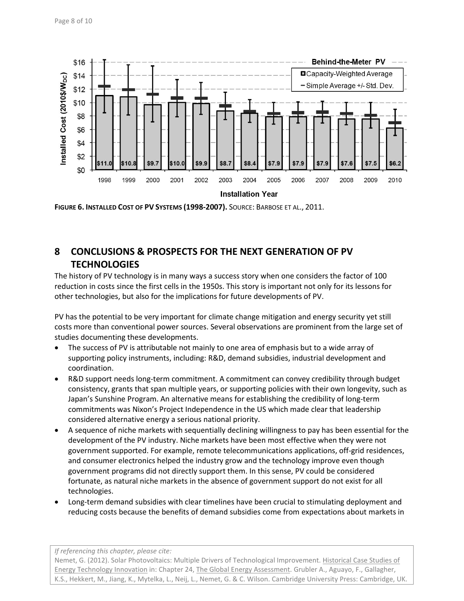

**FIGURE 6. INSTALLED COST OF PV SYSTEMS (1998-2007).** SOURCE: [BARBOSE ET AL.,](#page-8-4) 2011.

# **8 CONCLUSIONS & PROSPECTS FOR THE NEXT GENERATION OF PV TECHNOLOGIES**

The history of PV technology is in many ways a success story when one considers the factor of 100 reduction in costs since the first cells in the 1950s. This story is important not only for its lessons for other technologies, but also for the implications for future developments of PV.

PV has the potential to be very important for climate change mitigation and energy security yet still costs more than conventional power sources. Several observations are prominent from the large set of studies documenting these developments.

- The success of PV is attributable not mainly to one area of emphasis but to a wide array of supporting policy instruments, including: R&D, demand subsidies, industrial development and coordination.
- R&D support needs long-term commitment. A commitment can convey credibility through budget consistency, grants that span multiple years, or supporting policies with their own longevity, such as Japan's Sunshine Program. An alternative means for establishing the credibility of long-term commitments was Nixon's Project Independence in the US which made clear that leadership considered alternative energy a serious national priority.
- A sequence of niche markets with sequentially declining willingness to pay has been essential for the development of the PV industry. Niche markets have been most effective when they were not government supported. For example, remote telecommunications applications, off-grid residences, and consumer electronics helped the industry grow and the technology improve even though government programs did not directly support them. In this sense, PV could be considered fortunate, as natural niche markets in the absence of government support do not exist for all technologies.
- Long-term demand subsidies with clear timelines have been crucial to stimulating deployment and reducing costs because the benefits of demand subsidies come from expectations about markets in

#### *If referencing this chapter, please cite:*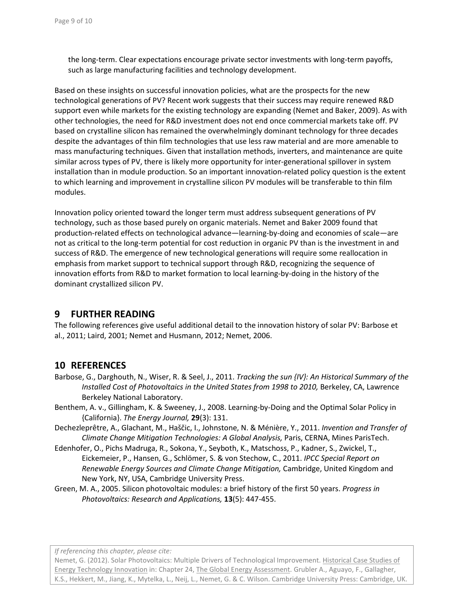the long-term. Clear expectations encourage private sector investments with long-term payoffs, such as large manufacturing facilities and technology development.

Based on these insights on successful innovation policies, what are the prospects for the new technological generations of PV? Recent work suggests that their success may require renewed R&D support even while markets for the existing technology are expanding [\(Nemet and Baker, 2009\)](#page-9-16). As with other technologies, the need for R&D investment does not end once commercial markets take off. PV based on crystalline silicon has remained the overwhelmingly dominant technology for three decades despite the advantages of thin film technologies that use less raw material and are more amenable to mass manufacturing techniques. Given that installation methods, inverters, and maintenance are quite similar across types of PV, there is likely more opportunity for inter-generational spillover in system installation than in module production. So an important innovation-related policy question is the extent to which learning and improvement in crystalline silicon PV modules will be transferable to thin film modules.

Innovation policy oriented toward the longer term must address subsequent generations of PV technology, such as those based purely on organic materials. Nemet and Baker [2009](#page-9-16) found that production-related effects on technological advance—learning-by-doing and economies of scale—are not as critical to the long-term potential for cost reduction in organic PV than is the investment in and success of R&D. The emergence of new technological generations will require some reallocation in emphasis from market support to technical support through R&D, recognizing the sequence of innovation efforts from R&D to market formation to local learning-by-doing in the history of the dominant crystallized silicon PV.

### **9 FURTHER READING**

The following references give useful additional detail to the innovation history of solar PV: [Barbose et](#page-8-4)  [al., 2011;](#page-8-4) [Laird, 2001;](#page-9-15) [Nemet and Husmann, 2012;](#page-9-3) [Nemet, 2006.](#page-9-4)

### **10 REFERENCES**

- <span id="page-8-4"></span>Barbose, G., Darghouth, N., Wiser, R. & Seel, J., 2011. *Tracking the sun {IV}: An Historical Summary of the*  Installed Cost of Photovoltaics in the United States from 1998 to 2010, Berkeley, CA, Lawrence Berkeley National Laboratory.
- <span id="page-8-1"></span>Benthem, A. v., Gillingham, K. & Sweeney, J., 2008. Learning-by-Doing and the Optimal Solar Policy in {California}. *The Energy Journal,* **29**(3): 131.
- <span id="page-8-2"></span>Dechezleprêtre, A., Glachant, M., Haščic, I., Johnstone, N. & Ménière, Y., 2011. *Invention and Transfer of Climate Change Mitigation Technologies: A Global Analysis,* Paris, CERNA, Mines ParisTech.
- <span id="page-8-3"></span>Edenhofer, O., Pichs Madruga, R., Sokona, Y., Seyboth, K., Matschoss, P., Kadner, S., Zwickel, T., Eickemeier, P., Hansen, G., Schlömer, S. & von Stechow, C., 2011. *IPCC Special Report on Renewable Energy Sources and Climate Change Mitigation,* Cambridge, United Kingdom and New York, NY, USA, Cambridge University Press.
- <span id="page-8-0"></span>Green, M. A., 2005. Silicon photovoltaic modules: a brief history of the first 50 years. *Progress in Photovoltaics: Research and Applications,* **13**(5): 447-455.